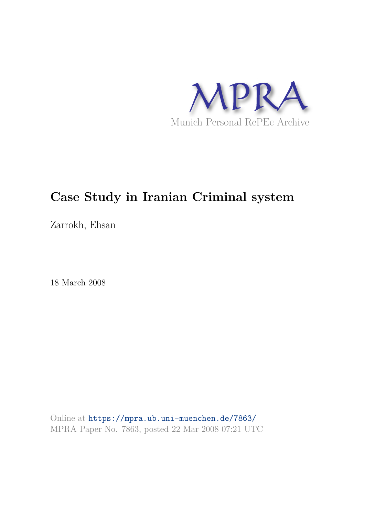

# **Case Study in Iranian Criminal system**

Zarrokh, Ehsan

18 March 2008

Online at https://mpra.ub.uni-muenchen.de/7863/ MPRA Paper No. 7863, posted 22 Mar 2008 07:21 UTC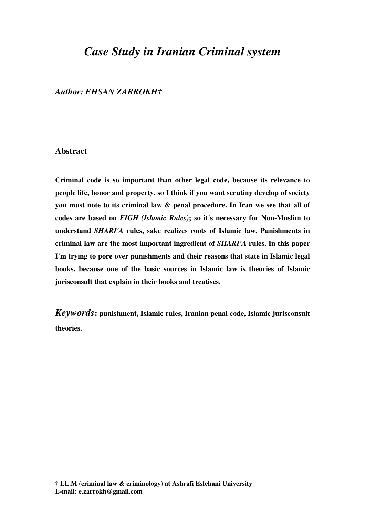## *Case Study in Iranian Criminal system*

## *Author: EHSAN ZARROKH†*

## **Abstract**

**Criminal code is so important than other legal code, because its relevance to people life, honor and property. so I think if you want scrutiny develop of society you must note to its criminal law & penal procedure. In Iran we see that all of codes are based on** *FIGH (Islamic Rules)***; so it's necessary for Non-Muslim to understand** *SHARI'A* **rules, sake realizes roots of Islamic law, Punishments in criminal law are the most important ingredient of** *SHARI'A* **rules. In this paper I'm trying to pore over punishments and their reasons that state in Islamic legal books, because one of the basic sources in Islamic law is theories of Islamic jurisconsult that explain in their books and treatises.** 

*Keywords***: punishment, Islamic rules, Iranian penal code, Islamic jurisconsult theories.**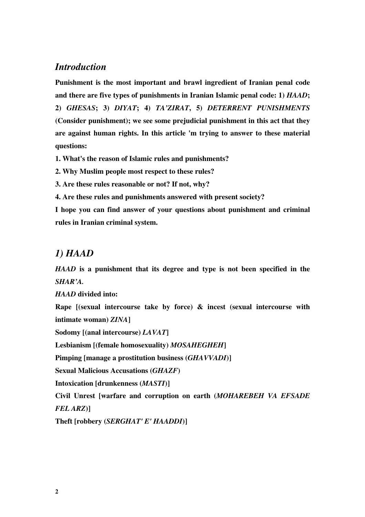## *Introduction*

**Punishment is the most important and brawl ingredient of Iranian penal code and there are five types of punishments in Iranian Islamic penal code: 1)** *HAAD***; 2)** *GHESAS***; 3)** *DIYAT***; 4)** *TA'ZIRAT***, 5)** *DETERRENT PUNISHMENTS* **(Consider punishment); we see some prejudicial punishment in this act that they are against human rights. In this article 'm trying to answer to these material questions:** 

**1. What's the reason of Islamic rules and punishments?** 

**2. Why Muslim people most respect to these rules?** 

**3. Are these rules reasonable or not? If not, why?** 

**4. Are these rules and punishments answered with present society?** 

**I hope you can find answer of your questions about punishment and criminal rules in Iranian criminal system.** 

## *1) HAAD*

*HAAD* **is a punishment that its degree and type is not been specified in the**  *SHAR'A.* 

*HAAD* **divided into:** 

**Rape [(sexual intercourse take by force) & incest (sexual intercourse with intimate woman)** *ZINA***]**

**Sodomy [(anal intercourse)** *LAVAT***]**

**Lesbianism [(female homosexuality)** *MOSAHEGHEH***]**

**Pimping [manage a prostitution business (***GHAVVADI***)]**

**Sexual Malicious Accusations (***GHAZF***)**

**Intoxication [drunkenness (***MASTI***)]**

**Civil Unrest [warfare and corruption on earth (***MOHAREBEH VA EFSADE* 

*FEL ARZ***)]**

**Theft [robbery (***SERGHAT' E' HAADDI***)]**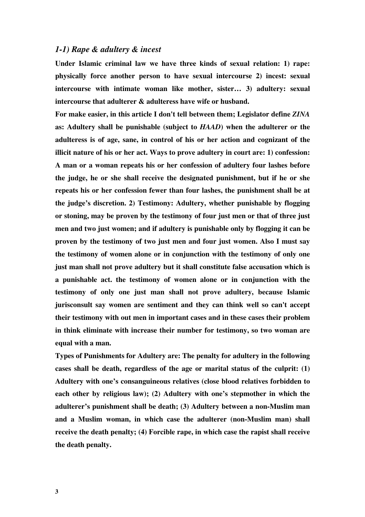## *1-1) Rape & adultery & incest*

**Under Islamic criminal law we have three kinds of sexual relation: 1) rape: physically force another person to have sexual intercourse 2) incest: sexual intercourse with intimate woman like mother, sister… 3) adultery: sexual intercourse that adulterer & adulteress have wife or husband.** 

**For make easier, in this article I don't tell between them; Legislator define** *ZINA* **as: Adultery shall be punishable (subject to** *HAAD***) when the adulterer or the adulteress is of age, sane, in control of his or her action and cognizant of the illicit nature of his or her act. Ways to prove adultery in court are: 1) confession: A man or a woman repeats his or her confession of adultery four lashes before the judge, he or she shall receive the designated punishment, but if he or she repeats his or her confession fewer than four lashes, the punishment shall be at the judge's discretion. 2) Testimony: Adultery, whether punishable by flogging or stoning, may be proven by the testimony of four just men or that of three just men and two just women; and if adultery is punishable only by flogging it can be proven by the testimony of two just men and four just women. Also I must say the testimony of women alone or in conjunction with the testimony of only one just man shall not prove adultery but it shall constitute false accusation which is a punishable act. the testimony of women alone or in conjunction with the testimony of only one just man shall not prove adultery, because Islamic jurisconsult say women are sentiment and they can think well so can't accept their testimony with out men in important cases and in these cases their problem in think eliminate with increase their number for testimony, so two woman are equal with a man.** 

**Types of Punishments for Adultery are: The penalty for adultery in the following cases shall be death, regardless of the age or marital status of the culprit: (1) Adultery with one's consanguineous relatives (close blood relatives forbidden to each other by religious law); (2) Adultery with one's stepmother in which the adulterer's punishment shall be death; (3) Adultery between a non-Muslim man and a Muslim woman, in which case the adulterer (non-Muslim man) shall receive the death penalty; (4) Forcible rape, in which case the rapist shall receive the death penalty.**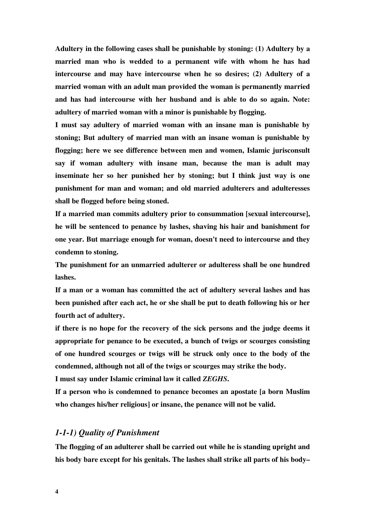**Adultery in the following cases shall be punishable by stoning: (1) Adultery by a married man who is wedded to a permanent wife with whom he has had intercourse and may have intercourse when he so desires; (2) Adultery of a married woman with an adult man provided the woman is permanently married and has had intercourse with her husband and is able to do so again. Note: adultery of married woman with a minor is punishable by flogging.** 

**I must say adultery of married woman with an insane man is punishable by stoning; But adultery of married man with an insane woman is punishable by flogging; here we see difference between men and women, Islamic jurisconsult say if woman adultery with insane man, because the man is adult may inseminate her so her punished her by stoning; but I think just way is one punishment for man and woman; and old married adulterers and adulteresses shall be flogged before being stoned.** 

**If a married man commits adultery prior to consummation [sexual intercourse], he will be sentenced to penance by lashes, shaving his hair and banishment for one year. But marriage enough for woman, doesn't need to intercourse and they condemn to stoning.** 

**The punishment for an unmarried adulterer or adulteress shall be one hundred lashes.** 

**If a man or a woman has committed the act of adultery several lashes and has been punished after each act, he or she shall be put to death following his or her fourth act of adultery.**

**if there is no hope for the recovery of the sick persons and the judge deems it appropriate for penance to be executed, a bunch of twigs or scourges consisting of one hundred scourges or twigs will be struck only once to the body of the condemned, although not all of the twigs or scourges may strike the body.** 

**I must say under Islamic criminal law it called** *ZEGHS***.** 

**If a person who is condemned to penance becomes an apostate [a born Muslim who changes his/her religious] or insane, the penance will not be valid.**

## *1-1-1) Quality of Punishment*

**The flogging of an adulterer shall be carried out while he is standing upright and his body bare except for his genitals. The lashes shall strike all parts of his body–**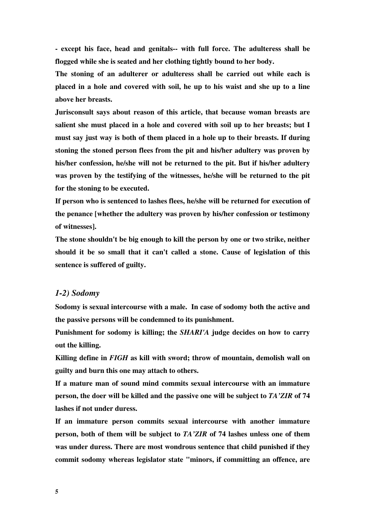**- except his face, head and genitals-- with full force. The adulteress shall be flogged while she is seated and her clothing tightly bound to her body.** 

**The stoning of an adulterer or adulteress shall be carried out while each is placed in a hole and covered with soil, he up to his waist and she up to a line above her breasts.** 

**Jurisconsult says about reason of this article, that because woman breasts are salient she must placed in a hole and covered with soil up to her breasts; but I must say just way is both of them placed in a hole up to their breasts. If during stoning the stoned person flees from the pit and his/her adultery was proven by his/her confession, he/she will not be returned to the pit. But if his/her adultery was proven by the testifying of the witnesses, he/she will be returned to the pit for the stoning to be executed.** 

**If person who is sentenced to lashes flees, he/she will be returned for execution of the penance [whether the adultery was proven by his/her confession or testimony of witnesses].** 

**The stone shouldn't be big enough to kill the person by one or two strike, neither should it be so small that it can't called a stone. Cause of legislation of this sentence is suffered of guilty.** 

## *1-2) Sodomy*

**Sodomy is sexual intercourse with a male. In case of sodomy both the active and the passive persons will be condemned to its punishment.** 

**Punishment for sodomy is killing; the** *SHARI'A* **judge decides on how to carry out the killing.** 

**Killing define in** *FIGH* **as kill with sword; throw of mountain, demolish wall on guilty and burn this one may attach to others.** 

**If a mature man of sound mind commits sexual intercourse with an immature person, the doer will be killed and the passive one will be subject to** *TA'ZIR* **of 74 lashes if not under duress.** 

**If an immature person commits sexual intercourse with another immature person, both of them will be subject to** *TA'ZIR* **of 74 lashes unless one of them was under duress. There are most wondrous sentence that child punished if they commit sodomy whereas legislator state "minors, if committing an offence, are**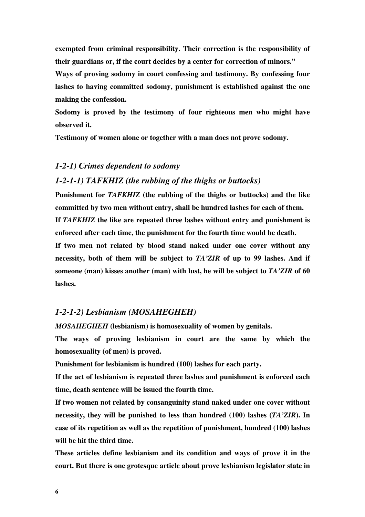**exempted from criminal responsibility. Their correction is the responsibility of their guardians or, if the court decides by a center for correction of minors."** 

**Ways of proving sodomy in court confessing and testimony. By confessing four lashes to having committed sodomy, punishment is established against the one making the confession.** 

**Sodomy is proved by the testimony of four righteous men who might have observed it.** 

**Testimony of women alone or together with a man does not prove sodomy.** 

## *1-2-1) Crimes dependent to sodomy*

## *1-2-1-1) TAFKHIZ (the rubbing of the thighs or buttocks)*

**Punishment for** *TAFKHIZ* **(the rubbing of the thighs or buttocks) and the like committed by two men without entry, shall be hundred lashes for each of them. If** *TAFKHIZ* **the like are repeated three lashes without entry and punishment is enforced after each time, the punishment for the fourth time would be death.** 

**If two men not related by blood stand naked under one cover without any necessity, both of them will be subject to** *TA'ZIR* **of up to 99 lashes. And if someone (man) kisses another (man) with lust, he will be subject to** *TA'ZIR* **of 60 lashes.** 

## *1-2-1-2) Lesbianism (MOSAHEGHEH)*

*MOSAHEGHEH* **(lesbianism) is homosexuality of women by genitals.** 

**The ways of proving lesbianism in court are the same by which the homosexuality (of men) is proved.** 

**Punishment for lesbianism is hundred (100) lashes for each party.** 

**If the act of lesbianism is repeated three lashes and punishment is enforced each time, death sentence will be issued the fourth time.** 

**If two women not related by consanguinity stand naked under one cover without necessity, they will be punished to less than hundred (100) lashes (***TA'ZIR***). In case of its repetition as well as the repetition of punishment, hundred (100) lashes will be hit the third time.** 

**These articles define lesbianism and its condition and ways of prove it in the court. But there is one grotesque article about prove lesbianism legislator state in**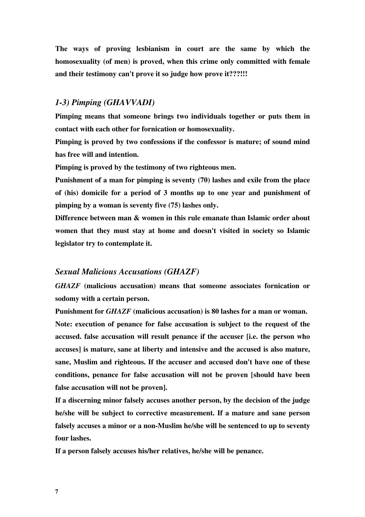**The ways of proving lesbianism in court are the same by which the homosexuality (of men) is proved, when this crime only committed with female and their testimony can't prove it so judge how prove it???!!!** 

## *1-3) Pimping (GHAVVADI)*

**Pimping means that someone brings two individuals together or puts them in contact with each other for fornication or homosexuality.** 

**Pimping is proved by two confessions if the confessor is mature; of sound mind has free will and intention.** 

**Pimping is proved by the testimony of two righteous men.** 

**Punishment of a man for pimping is seventy (70) lashes and exile from the place of (his) domicile for a period of 3 months up to one year and punishment of pimping by a woman is seventy five (75) lashes only.** 

**Difference between man & women in this rule emanate than Islamic order about women that they must stay at home and doesn't visited in society so Islamic legislator try to contemplate it.** 

## *Sexual Malicious Accusations (GHAZF)*

*GHAZF* **(malicious accusation) means that someone associates fornication or sodomy with a certain person.** 

**Punishment for** *GHAZF* **(malicious accusation) is 80 lashes for a man or woman. Note: execution of penance for false accusation is subject to the request of the accused. false accusation will result penance if the accuser [i.e. the person who accuses] is mature, sane at liberty and intensive and the accused is also mature, sane, Muslim and righteous. If the accuser and accused don't have one of these conditions, penance for false accusation will not be proven [should have been false accusation will not be proven].** 

**If a discerning minor falsely accuses another person, by the decision of the judge he/she will be subject to corrective measurement. If a mature and sane person falsely accuses a minor or a non-Muslim he/she will be sentenced to up to seventy four lashes.** 

**If a person falsely accuses his/her relatives, he/she will be penance.**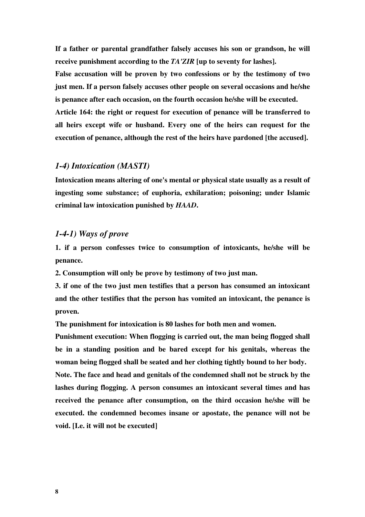**If a father or parental grandfather falsely accuses his son or grandson, he will receive punishment according to the** *TA'ZIR* **[up to seventy for lashes].** 

**False accusation will be proven by two confessions or by the testimony of two just men. If a person falsely accuses other people on several occasions and he/she is penance after each occasion, on the fourth occasion he/she will be executed.** 

**Article 164: the right or request for execution of penance will be transferred to all heirs except wife or husband. Every one of the heirs can request for the execution of penance, although the rest of the heirs have pardoned [the accused].** 

## *1-4) Intoxication (MASTI)*

**Intoxication means altering of one's mental or physical state usually as a result of ingesting some substance; of euphoria, exhilaration; poisoning; under Islamic criminal law intoxication punished by** *HAAD***.** 

## *1-4-1) Ways of prove*

**1. if a person confesses twice to consumption of intoxicants, he/she will be penance.** 

**2. Consumption will only be prove by testimony of two just man.** 

**3. if one of the two just men testifies that a person has consumed an intoxicant and the other testifies that the person has vomited an intoxicant, the penance is proven.** 

**The punishment for intoxication is 80 lashes for both men and women.** 

**Punishment execution: When flogging is carried out, the man being flogged shall be in a standing position and be bared except for his genitals, whereas the woman being flogged shall be seated and her clothing tightly bound to her body. Note. The face and head and genitals of the condemned shall not be struck by the lashes during flogging. A person consumes an intoxicant several times and has received the penance after consumption, on the third occasion he/she will be executed. the condemned becomes insane or apostate, the penance will not be void. [I.e. it will not be executed]**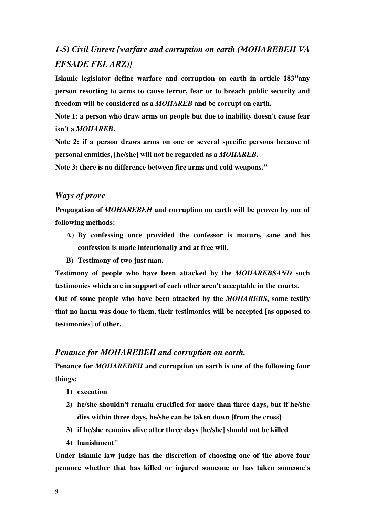## *1-5) Civil Unrest [warfare and corruption on earth (MOHAREBEH VA EFSADE FEL ARZ)]*

**Islamic legislator define warfare and corruption on earth in article 183"any person resorting to arms to cause terror, fear or to breach public security and freedom will be considered as a** *MOHAREB* **and be corrupt on earth.** 

**Note 1: a person who draw arms on people but due to inability doesn't cause fear isn't a** *MOHAREB***.** 

**Note 2: if a person draws arms on one or several specific persons because of personal enmities, [he/she] will not be regarded as a** *MOHAREB***.** 

**Note 3: there is no difference between fire arms and cold weapons."** 

## *Ways of prove*

**Propagation of** *MOHAREBEH* **and corruption on earth will be proven by one of following methods:** 

- **A) By confessing once provided the confessor is mature, sane and his confession is made intentionally and at free will.**
- **B) Testimony of two just man.**

**Testimony of people who have been attacked by the** *MOHAREBSAND* **such testimonies which are in support of each other aren't acceptable in the courts. Out of some people who have been attacked by the** *MOHAREBS***, some testify that no harm was done to them, their testimonies will be accepted [as opposed to testimonies] of other.** 

#### *Penance for MOHAREBEH and corruption on earth.*

**Penance for** *MOHAREBEH* **and corruption on earth is one of the following four things:** 

- **1) execution**
- **2) he/she shouldn't remain crucified for more than three days, but if he/she dies within three days, he/she can be taken down [from the cross]**
- **3) if he/she remains alive after three days [he/she] should not be killed**
- **4) banishment"**

**Under Islamic law judge has the discretion of choosing one of the above four penance whether that has killed or injured someone or has taken someone's**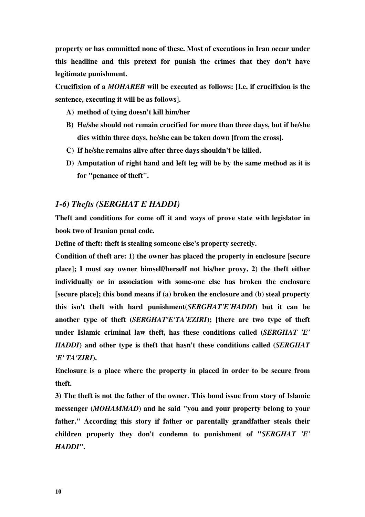**property or has committed none of these. Most of executions in Iran occur under this headline and this pretext for punish the crimes that they don't have legitimate punishment.** 

**Crucifixion of a** *MOHAREB* **will be executed as follows: [I.e. if crucifixion is the sentence, executing it will be as follows].** 

- **A) method of tying doesn't kill him/her**
- **B) He/she should not remain crucified for more than three days, but if he/she dies within three days, he/she can be taken down [from the cross].**
- **C) If he/she remains alive after three days shouldn't be killed.**
- **D) Amputation of right hand and left leg will be by the same method as it is for "penance of theft".**

## *1-6) Thefts (SERGHAT E HADDI)*

**Theft and conditions for come off it and ways of prove state with legislator in book two of Iranian penal code.** 

**Define of theft: theft is stealing someone else's property secretly.** 

**Condition of theft are: 1) the owner has placed the property in enclosure [secure place]; I must say owner himself/herself not his/her proxy, 2) the theft either individually or in association with some-one else has broken the enclosure [secure place]; this bond means if (a) broken the enclosure and (b) steal property this isn't theft with hard punishment(***SERGHAT'E'HADDI***) but it can be another type of theft (***SERGHAT'E'TA'EZIRI***); [there are two type of theft under Islamic criminal law theft, has these conditions called (***SERGHAT 'E' HADDI***) and other type is theft that hasn't these conditions called (***SERGHAT 'E' TA'ZIRI***).** 

**Enclosure is a place where the property in placed in order to be secure from theft.** 

**3) The theft is not the father of the owner. This bond issue from story of Islamic messenger (***MOHAMMAD***) and he said "you and your property belong to your father." According this story if father or parentally grandfather steals their children property they don't condemn to punishment of "***SERGHAT 'E' HADDI***".**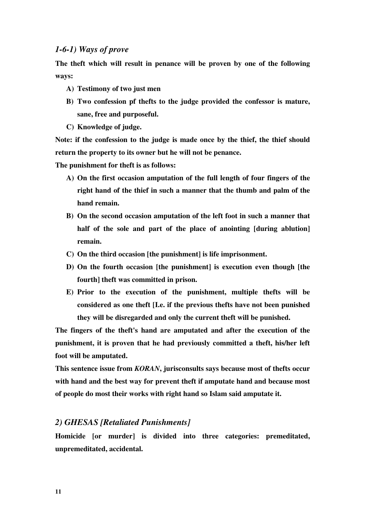## *1-6-1) Ways of prove*

**The theft which will result in penance will be proven by one of the following ways:** 

- **A) Testimony of two just men**
- **B) Two confession pf thefts to the judge provided the confessor is mature, sane, free and purposeful.**
- **C) Knowledge of judge.**

**Note: if the confession to the judge is made once by the thief, the thief should return the property to its owner but he will not be penance.** 

**The punishment for theft is as follows:** 

- **A) On the first occasion amputation of the full length of four fingers of the right hand of the thief in such a manner that the thumb and palm of the hand remain.**
- **B) On the second occasion amputation of the left foot in such a manner that half of the sole and part of the place of anointing [during ablution] remain.**
- **C) On the third occasion [the punishment] is life imprisonment.**
- **D) On the fourth occasion [the punishment] is execution even though [the fourth] theft was committed in prison.**
- **E) Prior to the execution of the punishment, multiple thefts will be considered as one theft [I.e. if the previous thefts have not been punished they will be disregarded and only the current theft will be punished.**

**The fingers of the theft's hand are amputated and after the execution of the punishment, it is proven that he had previously committed a theft, his/her left foot will be amputated.** 

**This sentence issue from** *KORAN***, jurisconsults says because most of thefts occur with hand and the best way for prevent theft if amputate hand and because most of people do most their works with right hand so Islam said amputate it.** 

## *2) GHESAS [Retaliated Punishments]*

**Homicide [or murder] is divided into three categories: premeditated, unpremeditated, accidental.**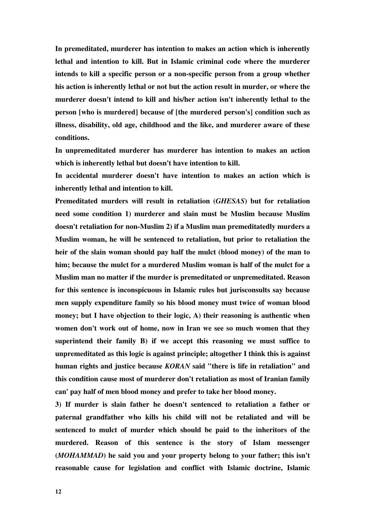**In premeditated, murderer has intention to makes an action which is inherently lethal and intention to kill. But in Islamic criminal code where the murderer intends to kill a specific person or a non-specific person from a group whether his action is inherently lethal or not but the action result in murder, or where the murderer doesn't intend to kill and his/her action isn't inherently lethal to the person [who is murdered] because of [the murdered person's] condition such as illness, disability, old age, childhood and the like, and murderer aware of these conditions.** 

**In unpremeditated murderer has murderer has intention to makes an action which is inherently lethal but doesn't have intention to kill.** 

**In accidental murderer doesn't have intention to makes an action which is inherently lethal and intention to kill.** 

**Premeditated murders will result in retaliation (***GHESAS***) but for retaliation need some condition 1) murderer and slain must be Muslim because Muslim doesn't retaliation for non-Muslim 2) if a Muslim man premeditatedly murders a Muslim woman, he will be sentenced to retaliation, but prior to retaliation the heir of the slain woman should pay half the mulct (blood money) of the man to him; because the mulct for a murdered Muslim woman is half of the mulct for a Muslim man no matter if the murder is premeditated or unpremeditated. Reason for this sentence is inconspicuous in Islamic rules but jurisconsults say because men supply expenditure family so his blood money must twice of woman blood money; but I have objection to their logic, A) their reasoning is authentic when women don't work out of home, now in Iran we see so much women that they superintend their family B) if we accept this reasoning we must suffice to unpremeditated as this logic is against principle; altogether I think this is against human rights and justice because** *KORAN* **said "there is life in retaliation" and this condition cause most of murderer don't retaliation as most of Iranian family can' pay half of men blood money and prefer to take her blood money.** 

**3) If murder is slain father he doesn't sentenced to retaliation a father or paternal grandfather who kills his child will not be retaliated and will be sentenced to mulct of murder which should be paid to the inheritors of the murdered. Reason of this sentence is the story of Islam messenger (***MOHAMMAD***) he said you and your property belong to your father; this isn't reasonable cause for legislation and conflict with Islamic doctrine, Islamic**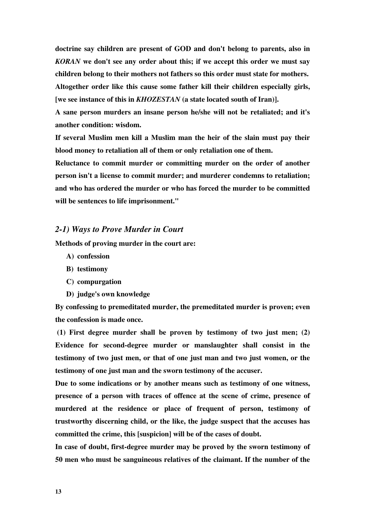**doctrine say children are present of GOD and don't belong to parents, also in**  *KORAN* **we don't see any order about this; if we accept this order we must say children belong to their mothers not fathers so this order must state for mothers. Altogether order like this cause some father kill their children especially girls, [we see instance of this in** *KHOZESTAN* **(a state located south of Iran)].** 

**A sane person murders an insane person he/she will not be retaliated; and it's another condition: wisdom.** 

**If several Muslim men kill a Muslim man the heir of the slain must pay their blood money to retaliation all of them or only retaliation one of them.** 

**Reluctance to commit murder or committing murder on the order of another person isn't a license to commit murder; and murderer condemns to retaliation; and who has ordered the murder or who has forced the murder to be committed will be sentences to life imprisonment."** 

### *2-1) Ways to Prove Murder in Court*

**Methods of proving murder in the court are:** 

- **A) confession**
- **B) testimony**
- **C) compurgation**
- **D) judge's own knowledge**

**By confessing to premeditated murder, the premeditated murder is proven; even the confession is made once.** 

 **(1) First degree murder shall be proven by testimony of two just men; (2) Evidence for second-degree murder or manslaughter shall consist in the testimony of two just men, or that of one just man and two just women, or the testimony of one just man and the sworn testimony of the accuser.** 

**Due to some indications or by another means such as testimony of one witness, presence of a person with traces of offence at the scene of crime, presence of murdered at the residence or place of frequent of person, testimony of trustworthy discerning child, or the like, the judge suspect that the accuses has committed the crime, this [suspicion] will be of the cases of doubt.** 

**In case of doubt, first-degree murder may be proved by the sworn testimony of 50 men who must be sanguineous relatives of the claimant. If the number of the**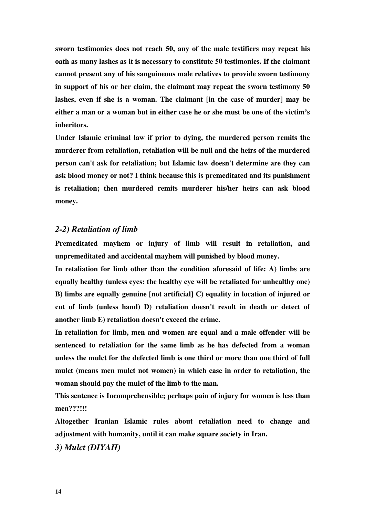**sworn testimonies does not reach 50, any of the male testifiers may repeat his oath as many lashes as it is necessary to constitute 50 testimonies. If the claimant cannot present any of his sanguineous male relatives to provide sworn testimony in support of his or her claim, the claimant may repeat the sworn testimony 50 lashes, even if she is a woman. The claimant [in the case of murder] may be either a man or a woman but in either case he or she must be one of the victim's inheritors.** 

**Under Islamic criminal law if prior to dying, the murdered person remits the murderer from retaliation, retaliation will be null and the heirs of the murdered person can't ask for retaliation; but Islamic law doesn't determine are they can ask blood money or not? I think because this is premeditated and its punishment is retaliation; then murdered remits murderer his/her heirs can ask blood money.** 

## *2-2) Retaliation of limb*

**Premeditated mayhem or injury of limb will result in retaliation, and unpremeditated and accidental mayhem will punished by blood money.** 

**In retaliation for limb other than the condition aforesaid of life: A) limbs are equally healthy (unless eyes: the healthy eye will be retaliated for unhealthy one) B) limbs are equally genuine [not artificial] C) equality in location of injured or cut of limb (unless hand) D) retaliation doesn't result in death or detect of another limb E) retaliation doesn't exceed the crime.** 

**In retaliation for limb, men and women are equal and a male offender will be sentenced to retaliation for the same limb as he has defected from a woman unless the mulct for the defected limb is one third or more than one third of full mulct (means men mulct not women) in which case in order to retaliation, the woman should pay the mulct of the limb to the man.** 

**This sentence is Incomprehensible; perhaps pain of injury for women is less than men???!!!** 

**Altogether Iranian Islamic rules about retaliation need to change and adjustment with humanity, until it can make square society in Iran.** 

*3) Mulct (DIYAH)*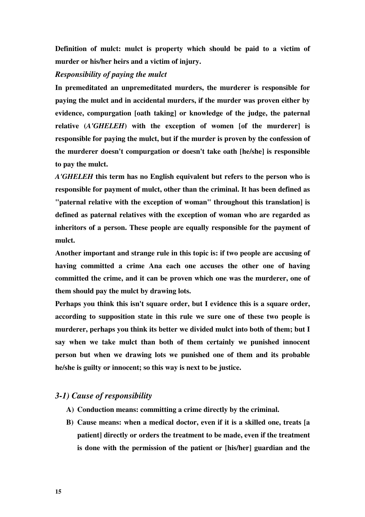**Definition of mulct: mulct is property which should be paid to a victim of murder or his/her heirs and a victim of injury.** 

## *Responsibility of paying the mulct*

**In premeditated an unpremeditated murders, the murderer is responsible for paying the mulct and in accidental murders, if the murder was proven either by evidence, compurgation [oath taking] or knowledge of the judge, the paternal relative (***A'GHELEH***) with the exception of women [of the murderer] is responsible for paying the mulct, but if the murder is proven by the confession of the murderer doesn't compurgation or doesn't take oath [he/she] is responsible to pay the mulct.** 

*A'GHELEH* **this term has no English equivalent but refers to the person who is responsible for payment of mulct, other than the criminal. It has been defined as "paternal relative with the exception of woman" throughout this translation] is defined as paternal relatives with the exception of woman who are regarded as inheritors of a person. These people are equally responsible for the payment of mulct.** 

**Another important and strange rule in this topic is: if two people are accusing of having committed a crime Ana each one accuses the other one of having committed the crime, and it can be proven which one was the murderer, one of them should pay the mulct by drawing lots.** 

**Perhaps you think this isn't square order, but I evidence this is a square order, according to supposition state in this rule we sure one of these two people is murderer, perhaps you think its better we divided mulct into both of them; but I say when we take mulct than both of them certainly we punished innocent person but when we drawing lots we punished one of them and its probable he/she is guilty or innocent; so this way is next to be justice.** 

## *3-1) Cause of responsibility*

- **A) Conduction means: committing a crime directly by the criminal.**
- **B) Cause means: when a medical doctor, even if it is a skilled one, treats [a patient] directly or orders the treatment to be made, even if the treatment is done with the permission of the patient or [his/her] guardian and the**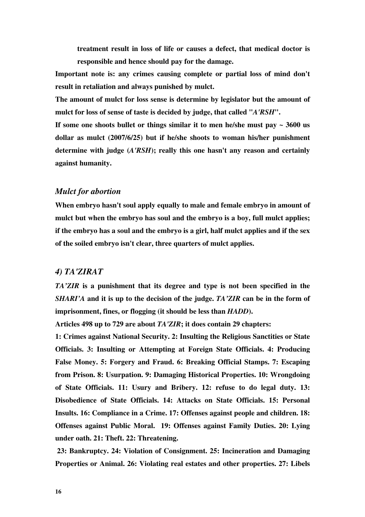**treatment result in loss of life or causes a defect, that medical doctor is responsible and hence should pay for the damage.** 

**Important note is: any crimes causing complete or partial loss of mind don't result in retaliation and always punished by mulct.** 

**The amount of mulct for loss sense is determine by legislator but the amount of mulct for loss of sense of taste is decided by judge, that called "***A'RSH***".** 

**If some one shoots bullet or things similar it to men he/she must pay ~ 3600 us dollar as mulct (2007/6/25) but if he/she shoots to woman his/her punishment determine with judge (***A'RSH***); really this one hasn't any reason and certainly against humanity.** 

## *Mulct for abortion*

**When embryo hasn't soul apply equally to male and female embryo in amount of mulct but when the embryo has soul and the embryo is a boy, full mulct applies; if the embryo has a soul and the embryo is a girl, half mulct applies and if the sex of the soiled embryo isn't clear, three quarters of mulct applies.** 

## *4) TA'ZIRAT*

*TA'ZIR* **is a punishment that its degree and type is not been specified in the**  *SHARI'A* **and it is up to the decision of the judge.** *TA'ZIR* **can be in the form of imprisonment, fines, or flogging (it should be less than** *HADD***).** 

**Articles 498 up to 729 are about** *TA'ZIR***; it does contain 29 chapters:** 

**1: Crimes against National Security. 2: Insulting the Religious Sanctities or State Officials. 3: Insulting or Attempting at Foreign State Officials. 4: Producing False Money. 5: Forgery and Fraud. 6: Breaking Official Stamps. 7: Escaping from Prison. 8: Usurpation. 9: Damaging Historical Properties. 10: Wrongdoing of State Officials. 11: Usury and Bribery. 12: refuse to do legal duty. 13: Disobedience of State Officials. 14: Attacks on State Officials. 15: Personal Insults. 16: Compliance in a Crime. 17: Offenses against people and children. 18: Offenses against Public Moral. 19: Offenses against Family Duties. 20: Lying under oath. 21: Theft. 22: Threatening.** 

 **23: Bankruptcy. 24: Violation of Consignment. 25: Incineration and Damaging Properties or Animal. 26: Violating real estates and other properties. 27: Libels**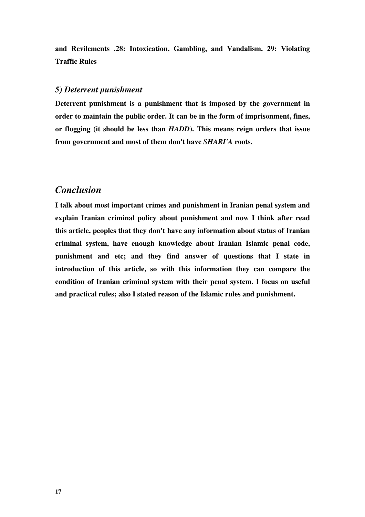**and Revilements .28: Intoxication, Gambling, and Vandalism. 29: Violating Traffic Rules** 

## *5) Deterrent punishment*

**Deterrent punishment is a punishment that is imposed by the government in order to maintain the public order. It can be in the form of imprisonment, fines, or flogging (it should be less than** *HADD***). This means reign orders that issue from government and most of them don't have** *SHARI'A* **roots.** 

## *Conclusion*

**I talk about most important crimes and punishment in Iranian penal system and explain Iranian criminal policy about punishment and now I think after read this article, peoples that they don't have any information about status of Iranian criminal system, have enough knowledge about Iranian Islamic penal code, punishment and etc; and they find answer of questions that I state in introduction of this article, so with this information they can compare the condition of Iranian criminal system with their penal system. I focus on useful and practical rules; also I stated reason of the Islamic rules and punishment.**